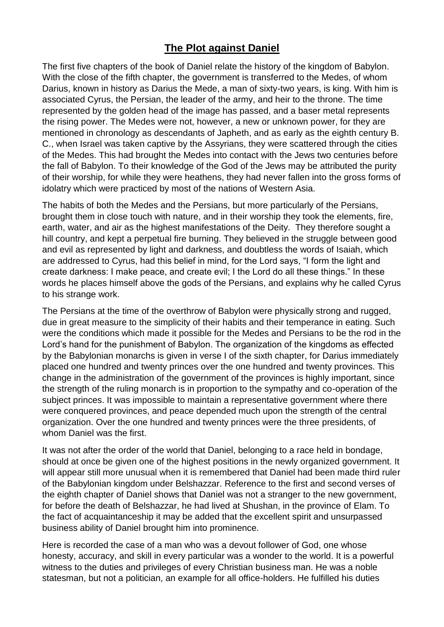## **The Plot against Daniel**

The first five chapters of the book of Daniel relate the history of the kingdom of Babylon. With the close of the fifth chapter, the government is transferred to the Medes, of whom Darius, known in history as Darius the Mede, a man of sixty-two years, is king. With him is associated Cyrus, the Persian, the leader of the army, and heir to the throne. The time represented by the golden head of the image has passed, and a baser metal represents the rising power. The Medes were not, however, a new or unknown power, for they are mentioned in chronology as descendants of Japheth, and as early as the eighth century B. C., when Israel was taken captive by the Assyrians, they were scattered through the cities of the Medes. This had brought the Medes into contact with the Jews two centuries before the fall of Babylon. To their knowledge of the God of the Jews may be attributed the purity of their worship, for while they were heathens, they had never fallen into the gross forms of idolatry which were practiced by most of the nations of Western Asia.

The habits of both the Medes and the Persians, but more particularly of the Persians, brought them in close touch with nature, and in their worship they took the elements, fire, earth, water, and air as the highest manifestations of the Deity. They therefore sought a hill country, and kept a perpetual fire burning. They believed in the struggle between good and evil as represented by light and darkness, and doubtless the words of Isaiah, which are addressed to Cyrus, had this belief in mind, for the Lord says, "I form the light and create darkness: I make peace, and create evil; I the Lord do all these things." In these words he places himself above the gods of the Persians, and explains why he called Cyrus to his strange work.

The Persians at the time of the overthrow of Babylon were physically strong and rugged, due in great measure to the simplicity of their habits and their temperance in eating. Such were the conditions which made it possible for the Medes and Persians to be the rod in the Lord's hand for the punishment of Babylon. The organization of the kingdoms as effected by the Babylonian monarchs is given in verse I of the sixth chapter, for Darius immediately placed one hundred and twenty princes over the one hundred and twenty provinces. This change in the administration of the government of the provinces is highly important, since the strength of the ruling monarch is in proportion to the sympathy and co-operation of the subject princes. It was impossible to maintain a representative government where there were conquered provinces, and peace depended much upon the strength of the central organization. Over the one hundred and twenty princes were the three presidents, of whom Daniel was the first.

It was not after the order of the world that Daniel, belonging to a race held in bondage, should at once be given one of the highest positions in the newly organized government. It will appear still more unusual when it is remembered that Daniel had been made third ruler of the Babylonian kingdom under Belshazzar. Reference to the first and second verses of the eighth chapter of Daniel shows that Daniel was not a stranger to the new government, for before the death of Belshazzar, he had lived at Shushan, in the province of Elam. To the fact of acquaintanceship it may be added that the excellent spirit and unsurpassed business ability of Daniel brought him into prominence.

Here is recorded the case of a man who was a devout follower of God, one whose honesty, accuracy, and skill in every particular was a wonder to the world. It is a powerful witness to the duties and privileges of every Christian business man. He was a noble statesman, but not a politician, an example for all office-holders. He fulfilled his duties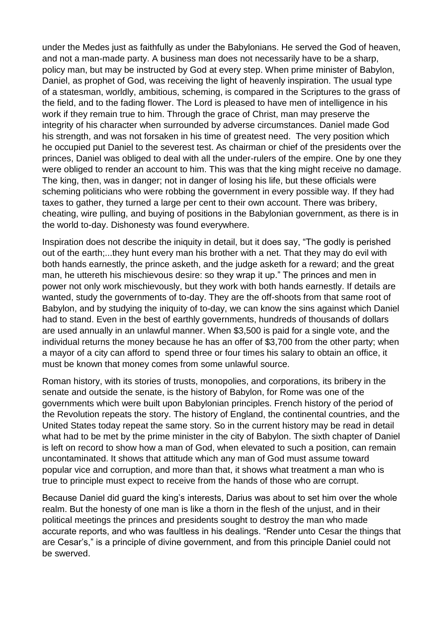under the Medes just as faithfully as under the Babylonians. He served the God of heaven, and not a man-made party. A business man does not necessarily have to be a sharp, policy man, but may be instructed by God at every step. When prime minister of Babylon, Daniel, as prophet of God, was receiving the light of heavenly inspiration. The usual type of a statesman, worldly, ambitious, scheming, is compared in the Scriptures to the grass of the field, and to the fading flower. The Lord is pleased to have men of intelligence in his work if they remain true to him. Through the grace of Christ, man may preserve the integrity of his character when surrounded by adverse circumstances. Daniel made God his strength, and was not forsaken in his time of greatest need. The very position which he occupied put Daniel to the severest test. As chairman or chief of the presidents over the princes, Daniel was obliged to deal with all the under-rulers of the empire. One by one they were obliged to render an account to him. This was that the king might receive no damage. The king, then, was in danger; not in danger of losing his life, but these officials were scheming politicians who were robbing the government in every possible way. If they had taxes to gather, they turned a large per cent to their own account. There was bribery, cheating, wire pulling, and buying of positions in the Babylonian government, as there is in the world to-day. Dishonesty was found everywhere.

Inspiration does not describe the iniquity in detail, but it does say, "The godly is perished out of the earth;...they hunt every man his brother with a net. That they may do evil with both hands earnestly, the prince asketh, and the judge asketh for a reward; and the great man, he uttereth his mischievous desire: so they wrap it up." The princes and men in power not only work mischievously, but they work with both hands earnestly. If details are wanted, study the governments of to-day. They are the off-shoots from that same root of Babylon, and by studying the iniquity of to-day, we can know the sins against which Daniel had to stand. Even in the best of earthly governments, hundreds of thousands of dollars are used annually in an unlawful manner. When \$3,500 is paid for a single vote, and the individual returns the money because he has an offer of \$3,700 from the other party; when a mayor of a city can afford to spend three or four times his salary to obtain an office, it must be known that money comes from some unlawful source.

Roman history, with its stories of trusts, monopolies, and corporations, its bribery in the senate and outside the senate, is the history of Babylon, for Rome was one of the governments which were built upon Babylonian principles. French history of the period of the Revolution repeats the story. The history of England, the continental countries, and the United States today repeat the same story. So in the current history may be read in detail what had to be met by the prime minister in the city of Babylon. The sixth chapter of Daniel is left on record to show how a man of God, when elevated to such a position, can remain uncontaminated. It shows that attitude which any man of God must assume toward popular vice and corruption, and more than that, it shows what treatment a man who is true to principle must expect to receive from the hands of those who are corrupt.

Because Daniel did guard the king's interests, Darius was about to set him over the whole realm. But the honesty of one man is like a thorn in the flesh of the unjust, and in their political meetings the princes and presidents sought to destroy the man who made accurate reports, and who was faultless in his dealings. "Render unto Cesar the things that are Cesar's," is a principle of divine government, and from this principle Daniel could not be swerved.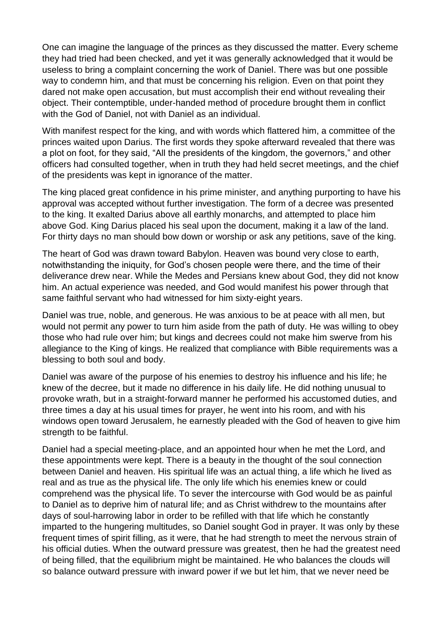One can imagine the language of the princes as they discussed the matter. Every scheme they had tried had been checked, and yet it was generally acknowledged that it would be useless to bring a complaint concerning the work of Daniel. There was but one possible way to condemn him, and that must be concerning his religion. Even on that point they dared not make open accusation, but must accomplish their end without revealing their object. Their contemptible, under-handed method of procedure brought them in conflict with the God of Daniel, not with Daniel as an individual.

With manifest respect for the king, and with words which flattered him, a committee of the princes waited upon Darius. The first words they spoke afterward revealed that there was a plot on foot, for they said, "All the presidents of the kingdom, the governors," and other officers had consulted together, when in truth they had held secret meetings, and the chief of the presidents was kept in ignorance of the matter.

The king placed great confidence in his prime minister, and anything purporting to have his approval was accepted without further investigation. The form of a decree was presented to the king. It exalted Darius above all earthly monarchs, and attempted to place him above God. King Darius placed his seal upon the document, making it a law of the land. For thirty days no man should bow down or worship or ask any petitions, save of the king.

The heart of God was drawn toward Babylon. Heaven was bound very close to earth, notwithstanding the iniquity, for God's chosen people were there, and the time of their deliverance drew near. While the Medes and Persians knew about God, they did not know him. An actual experience was needed, and God would manifest his power through that same faithful servant who had witnessed for him sixty-eight years.

Daniel was true, noble, and generous. He was anxious to be at peace with all men, but would not permit any power to turn him aside from the path of duty. He was willing to obey those who had rule over him; but kings and decrees could not make him swerve from his allegiance to the King of kings. He realized that compliance with Bible requirements was a blessing to both soul and body.

Daniel was aware of the purpose of his enemies to destroy his influence and his life; he knew of the decree, but it made no difference in his daily life. He did nothing unusual to provoke wrath, but in a straight-forward manner he performed his accustomed duties, and three times a day at his usual times for prayer, he went into his room, and with his windows open toward Jerusalem, he earnestly pleaded with the God of heaven to give him strength to be faithful.

Daniel had a special meeting-place, and an appointed hour when he met the Lord, and these appointments were kept. There is a beauty in the thought of the soul connection between Daniel and heaven. His spiritual life was an actual thing, a life which he lived as real and as true as the physical life. The only life which his enemies knew or could comprehend was the physical life. To sever the intercourse with God would be as painful to Daniel as to deprive him of natural life; and as Christ withdrew to the mountains after days of soul-harrowing labor in order to be refilled with that life which he constantly imparted to the hungering multitudes, so Daniel sought God in prayer. It was only by these frequent times of spirit filling, as it were, that he had strength to meet the nervous strain of his official duties. When the outward pressure was greatest, then he had the greatest need of being filled, that the equilibrium might be maintained. He who balances the clouds will so balance outward pressure with inward power if we but let him, that we never need be